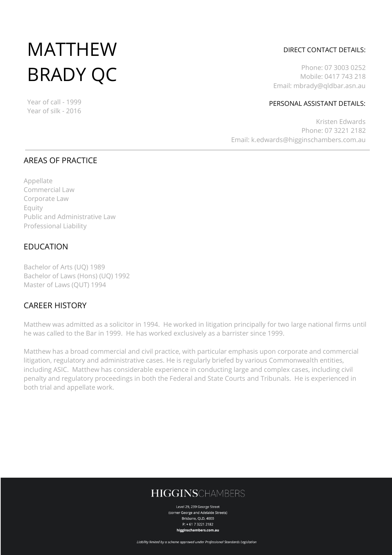# MATTHEW BRADY QC

Year of call - 1999 Year of silk - 2016

## DIRECT CONTACT DETAILS:

Phone: 07 3003 0252 Mobile: 0417 743 218 Email: mbrady@qldbar.asn.au

#### PERSONAL ASSISTANT DETAILS:

Kristen Edwards Phone: 07 3221 2182 Email: k.edwards@higginschambers.com.au

## AREAS OF PRACTICE

Appellate Commercial Law Corporate Law Equity Public and Administrative Law Professional Liability

## EDUCATION

Bachelor of Arts (UQ) 1989 Bachelor of Laws (Hons) (UQ) 1992 Master of Laws (QUT) 1994

## CAREER HISTORY

Matthew was admitted as a solicitor in 1994. He worked in litigation principally for two large national firms until he was called to the Bar in 1999. He has worked exclusively as a barrister since 1999.

Matthew has a broad commercial and civil practice, with particular emphasis upon corporate and commercial litigation, regulatory and administrative cases. He is regularly briefed by various Commonwealth entities, including ASIC. Matthew has considerable experience in conducting large and complex cases, including civil penalty and regulatory proceedings in both the Federal and State Courts and Tribunals. He is experienced in both trial and appellate work.

# **HIGGINSCHAMBERS**

Level 29, 239 George Street (corner George and Adelaide Streets) Brishane, OLD, 4000  $P: +61732212182$ higginschambers.com.au

Liability limited by a scheme approved under Professional Standards Legislation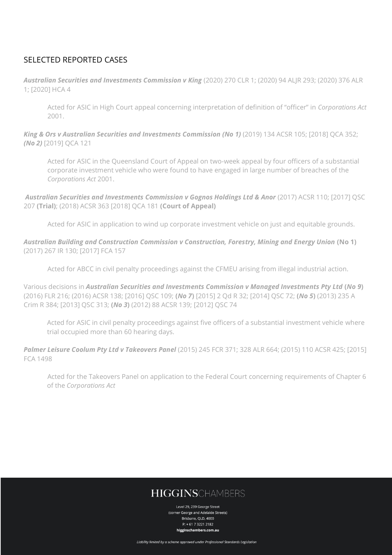## SELECTED REPORTED CASES

*Australian Securities and Investments Commission v King* (2020) 270 CLR 1; (2020) 94 ALJR 293; (2020) 376 ALR 1; [2020] HCA 4

Acted for ASIC in High Court appeal concerning interpretation of definition of "officer" in *Corporations Act* 2001.

*King & Ors v Australian Securities and Investments Commission (No 1)* (2019) 134 ACSR 105; [2018] QCA 352; *(No 2)* [2019] QCA 121

Acted for ASIC in the Queensland Court of Appeal on two-week appeal by four officers of a substantial corporate investment vehicle who were found to have engaged in large number of breaches of the *Corporations Act* 2001.

*Australian Securities and Investments Commission v Gognos Holdings Ltd & Anor* (2017) ACSR 110; [2017] QSC 207 **(Trial)**; (2018) ACSR 363 [2018] QCA 181 **(Court of Appeal)**

Acted for ASIC in application to wind up corporate investment vehicle on just and equitable grounds.

*Australian Building and Construction Commission v Construction, Forestry, Mining and Energy Union* **(No 1)** (2017) 267 IR 130; [2017] FCA 157

Acted for ABCC in civil penalty proceedings against the CFMEU arising from illegal industrial action.

Various decisions in *Australian Securities and Investments Commission v Managed Investments Pty Ltd* **(***No 9***)** (2016) FLR 216; (2016) ACSR 138; [2016] QSC 109; **(***No 7***)** [2015] 2 Qd R 32; [2014] QSC 72; **(***No 5***)** (2013) 235 A Crim R 384; [2013] QSC 313; **(***No 3***)** (2012) 88 ACSR 139; [2012] QSC 74

Acted for ASIC in civil penalty proceedings against five officers of a substantial investment vehicle where trial occupied more than 60 hearing days.

*Palmer Leisure Coolum Pty Ltd v Takeovers Panel* (2015) 245 FCR 371; 328 ALR 664; (2015) 110 ACSR 425; [2015] FCA 1498

Acted for the Takeovers Panel on application to the Federal Court concerning requirements of Chapter 6 of the *Corporations Act*

# **HIGGINSCHAMBERS**

Level 29, 239 George Street (corner George and Adelaide Streets) Brishane, OLD, 4000  $P: +61732212182$ higginschambers.com.au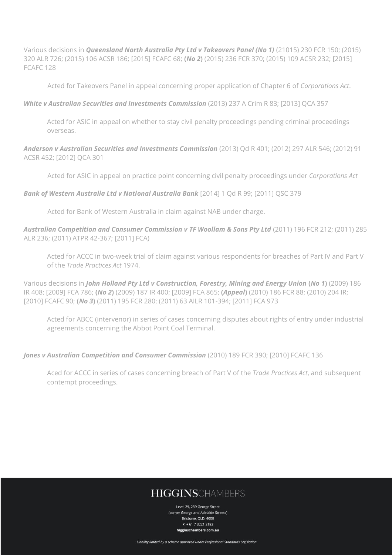Various decisions in *Queensland North Australia Pty Ltd v Takeovers Panel (No 1)* (21015) 230 FCR 150; (2015) 320 ALR 726; (2015) 106 ACSR 186; [2015] FCAFC 68; **(***No 2***)** (2015) 236 FCR 370; (2015) 109 ACSR 232; [2015] FCAFC 128

Acted for Takeovers Panel in appeal concerning proper application of Chapter 6 of *Corporations Act*.

#### *White v Australian Securities and Investments Commission* (2013) 237 A Crim R 83; [2013] QCA 357

Acted for ASIC in appeal on whether to stay civil penalty proceedings pending criminal proceedings overseas.

*Anderson v Australian Securities and Investments Commission* (2013) Qd R 401; (2012) 297 ALR 546; (2012) 91 ACSR 452; [2012] QCA 301

Acted for ASIC in appeal on practice point concerning civil penalty proceedings under *Corporations Act*

#### *Bank of Western Australia Ltd v National Australia Bank* [2014] 1 Qd R 99; [2011] QSC 379

Acted for Bank of Western Australia in claim against NAB under charge.

*Australian Competition and Consumer Commission v TF Woollam & Sons Pty Ltd* (2011) 196 FCR 212; (2011) 285 ALR 236; (2011) ATPR 42-367; [2011] FCA)

Acted for ACCC in two-week trial of claim against various respondents for breaches of Part IV and Part V of the *Trade Practices Act* 1974.

Various decisions in *John Holland Pty Ltd v Construction, Forestry, Mining and Energy Union* **(***No 1***)** (2009) 186 IR 408; [2009] FCA 786; **(***No 2***)** (2009) 187 IR 400; [2009] FCA 865; **(***Appeal***)** (2010) 186 FCR 88; (2010) 204 IR; [2010] FCAFC 90; **(***No 3***)** (2011) 195 FCR 280; (2011) 63 AILR 101-394; [2011] FCA 973

Acted for ABCC (intervenor) in series of cases concerning disputes about rights of entry under industrial agreements concerning the Abbot Point Coal Terminal.

#### *Jones v Australian Competition and Consumer Commission* (2010) 189 FCR 390; [2010] FCAFC 136

Aced for ACCC in series of cases concerning breach of Part V of the *Trade Practices Act*, and subsequent contempt proceedings.

# **HIGGINSCHAMBERS**

Level 29, 239 George Street (corner George and Adelaide Streets) Brishane, OLD, 4000  $P: +61732212182$ higginschambers.com.au

Liability limited by a scheme approved under Professional Standards Legislation